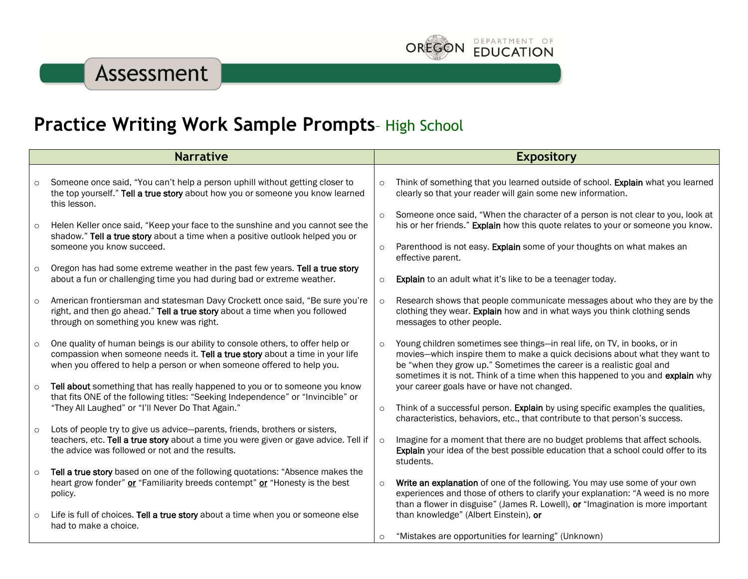## Assessment



| <b>Narrative</b> |                                                                                                                                                                                                                                           |         | <b>Expository</b>                                                                                                                                                                                                                                                                                                 |  |
|------------------|-------------------------------------------------------------------------------------------------------------------------------------------------------------------------------------------------------------------------------------------|---------|-------------------------------------------------------------------------------------------------------------------------------------------------------------------------------------------------------------------------------------------------------------------------------------------------------------------|--|
|                  |                                                                                                                                                                                                                                           |         |                                                                                                                                                                                                                                                                                                                   |  |
| $\circ$          | Someone once said, "You can't help a person uphill without getting closer to<br>the top yourself." Tell a true story about how you or someone you know learned<br>this lesson.                                                            | $\circ$ | Think of something that you learned outside of school. Explain what you learned<br>clearly so that your reader will gain some new information.                                                                                                                                                                    |  |
| $\circ$          | Helen Keller once said, "Keep your face to the sunshine and you cannot see the<br>shadow." Tell a true story about a time when a positive outlook helped you or                                                                           | $\circ$ | Someone once said, "When the character of a person is not clear to you, look at<br>his or her friends." Explain how this quote relates to your or someone you know.                                                                                                                                               |  |
|                  | someone you know succeed.                                                                                                                                                                                                                 | $\circ$ | Parenthood is not easy. Explain some of your thoughts on what makes an<br>effective parent.                                                                                                                                                                                                                       |  |
| $\circ$          | Oregon has had some extreme weather in the past few years. Tell a true story<br>about a fun or challenging time you had during bad or extreme weather.                                                                                    | $\circ$ | <b>Explain</b> to an adult what it's like to be a teenager today.                                                                                                                                                                                                                                                 |  |
| $\circ$          | American frontiersman and statesman Davy Crockett once said, "Be sure you're<br>right, and then go ahead." Tell a true story about a time when you followed<br>through on something you knew was right.                                   | $\circ$ | Research shows that people communicate messages about who they are by the<br>clothing they wear. Explain how and in what ways you think clothing sends<br>messages to other people.                                                                                                                               |  |
| $\circ$          | One quality of human beings is our ability to console others, to offer help or<br>compassion when someone needs it. Tell a true story about a time in your life<br>when you offered to help a person or when someone offered to help you. | $\circ$ | Young children sometimes see things-in real life, on TV, in books, or in<br>movies-which inspire them to make a quick decisions about what they want to<br>be "when they grow up." Sometimes the career is a realistic goal and<br>sometimes it is not. Think of a time when this happened to you and explain why |  |
| $\circ$          | Tell about something that has really happened to you or to someone you know<br>that fits ONE of the following titles: "Seeking Independence" or "Invincible" or                                                                           |         | your career goals have or have not changed.                                                                                                                                                                                                                                                                       |  |
|                  | "They All Laughed" or "I'll Never Do That Again."                                                                                                                                                                                         | $\circ$ | Think of a successful person. Explain by using specific examples the qualities,<br>characteristics, behaviors, etc., that contribute to that person's success.                                                                                                                                                    |  |
| $\circ$          | Lots of people try to give us advice-parents, friends, brothers or sisters,<br>teachers, etc. Tell a true story about a time you were given or gave advice. Tell if<br>the advice was followed or not and the results.                    | $\circ$ | Imagine for a moment that there are no budget problems that affect schools.<br>Explain your idea of the best possible education that a school could offer to its<br>students.                                                                                                                                     |  |
| $\circ$          | Tell a true story based on one of the following quotations: "Absence makes the<br>heart grow fonder" or "Familiarity breeds contempt" or "Honesty is the best<br>policy.                                                                  | $\circ$ | Write an explanation of one of the following. You may use some of your own<br>experiences and those of others to clarify your explanation: "A weed is no more<br>than a flower in disguise" (James R. Lowell), or "Imagination is more important                                                                  |  |
| $\circ$          | Life is full of choices. Tell a true story about a time when you or someone else<br>had to make a choice.                                                                                                                                 |         | than knowledge" (Albert Einstein), or                                                                                                                                                                                                                                                                             |  |
|                  |                                                                                                                                                                                                                                           | O       | "Mistakes are opportunities for learning" (Unknown)                                                                                                                                                                                                                                                               |  |

DEPARTMENT OF

**EDUCATION** 

**OREGON**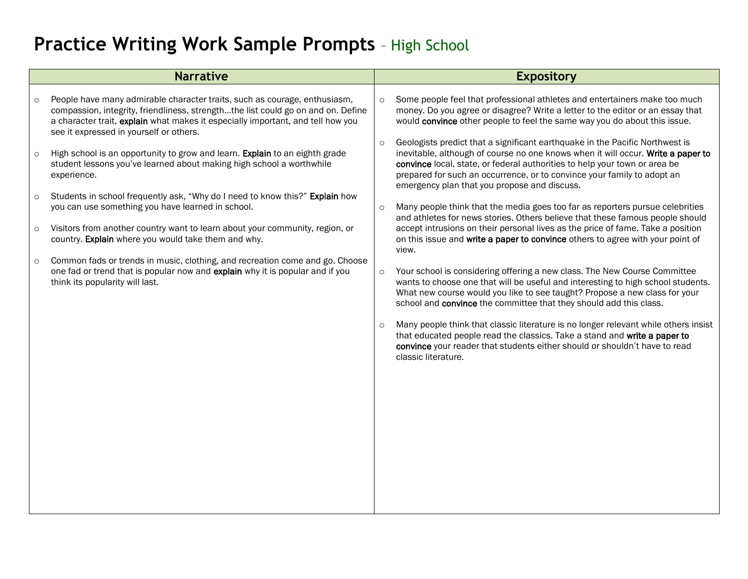## **Practice Writing Work Sample Prompts** – High School

| <b>Narrative</b>   |                                                                                                                                                                                                                                                                                             |                     | <b>Expository</b>                                                                                                                                                                                                                                                                                                         |  |
|--------------------|---------------------------------------------------------------------------------------------------------------------------------------------------------------------------------------------------------------------------------------------------------------------------------------------|---------------------|---------------------------------------------------------------------------------------------------------------------------------------------------------------------------------------------------------------------------------------------------------------------------------------------------------------------------|--|
| $\circ$            | People have many admirable character traits, such as courage, enthusiasm,<br>compassion, integrity, friendliness, strengththe list could go on and on. Define<br>a character trait, explain what makes it especially important, and tell how you<br>see it expressed in yourself or others. | $\circ$<br>$\Omega$ | Some people feel that professional athletes and entertainers make too much<br>money. Do you agree or disagree? Write a letter to the editor or an essay that<br>would convince other people to feel the same way you do about this issue.<br>Geologists predict that a significant earthquake in the Pacific Northwest is |  |
| $\circ$            | High school is an opportunity to grow and learn. Explain to an eighth grade<br>student lessons you've learned about making high school a worthwhile<br>experience.<br>Students in school frequently ask, "Why do I need to know this?" Explain how                                          |                     | inevitable, although of course no one knows when it will occur. Write a paper to<br>convince local, state, or federal authorities to help your town or area be<br>prepared for such an occurrence, or to convince your family to adopt an<br>emergency plan that you propose and discuss.                                 |  |
| $\circ$<br>$\circ$ | you can use something you have learned in school.<br>Visitors from another country want to learn about your community, region, or                                                                                                                                                           | $\circ$             | Many people think that the media goes too far as reporters pursue celebrities<br>and athletes for news stories. Others believe that these famous people should<br>accept intrusions on their personal lives as the price of fame. Take a position                                                                         |  |
| $\circ$            | country. Explain where you would take them and why.<br>Common fads or trends in music, clothing, and recreation come and go. Choose                                                                                                                                                         |                     | on this issue and write a paper to convince others to agree with your point of<br>view.                                                                                                                                                                                                                                   |  |
|                    | one fad or trend that is popular now and explain why it is popular and if you<br>think its popularity will last.                                                                                                                                                                            | $\circ$             | Your school is considering offering a new class. The New Course Committee<br>wants to choose one that will be useful and interesting to high school students.<br>What new course would you like to see taught? Propose a new class for your<br>school and convince the committee that they should add this class.         |  |
|                    |                                                                                                                                                                                                                                                                                             | $\circ$             | Many people think that classic literature is no longer relevant while others insist<br>that educated people read the classics. Take a stand and write a paper to<br>convince your reader that students either should or shouldn't have to read<br>classic literature.                                                     |  |
|                    |                                                                                                                                                                                                                                                                                             |                     |                                                                                                                                                                                                                                                                                                                           |  |
|                    |                                                                                                                                                                                                                                                                                             |                     |                                                                                                                                                                                                                                                                                                                           |  |
|                    |                                                                                                                                                                                                                                                                                             |                     |                                                                                                                                                                                                                                                                                                                           |  |
|                    |                                                                                                                                                                                                                                                                                             |                     |                                                                                                                                                                                                                                                                                                                           |  |